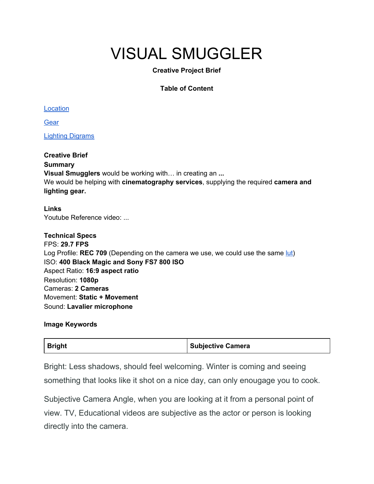## VISUAL SMUGGLER

#### **Creative Project Brief**

#### **Table of Content**

Location

**[Gear](#page-2-0)** 

Lighting [Digrams](#page-4-0)

**Creative Brief Summary Visual Smugglers** would be working with… in creating an **...** We would be helping with **cinematography services**, supplying the required **camera and lighting gear.**

**Links** Youtube Reference video: ...

**Technical Specs** FPS: **29.7 FPS** Log Profile: **REC 709** (Depending on the camera we use, we could use the same [lut](https://groundcontrolcolor.com/products/free-sony-s-log-2-to-rec-709-lut)) ISO: **400 Black Magic and Sony FS7 800 ISO** Aspect Ratio: **16:9 aspect ratio** Resolution: **1080p** Cameras: **2 Cameras** Movement: **Static + Movement** Sound: **Lavalier microphone**

#### **Image Keywords**

| <b>Bright</b> | <b>Subjective Camera</b> |
|---------------|--------------------------|
|---------------|--------------------------|

Bright: Less shadows, should feel welcoming. Winter is coming and seeing something that looks like it shot on a nice day, can only enougage you to cook.

Subjective Camera Angle, when you are looking at it from a personal point of view. TV, Educational videos are subjective as the actor or person is looking directly into the camera.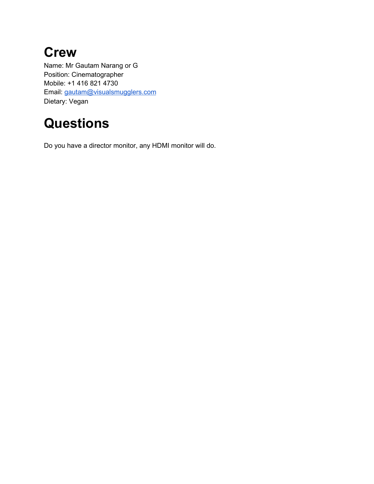## **Crew**

Name: Mr Gautam Narang or G Position: Cinematographer Mobile: +1 416 821 4730 Email: [gautam@visualsmugglers.com](mailto:gautam@visualsmugglers.com) Dietary: Vegan

## **Questions**

Do you have a director monitor, any HDMI monitor will do.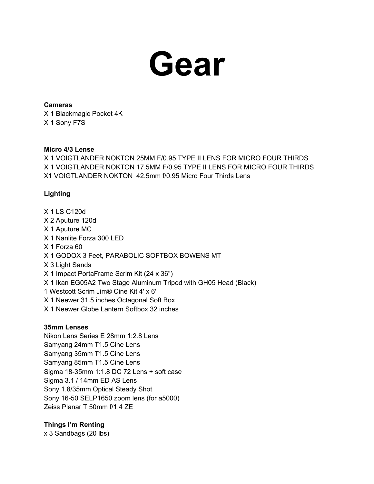

#### <span id="page-2-0"></span>**Cameras**

X 1 Blackmagic Pocket 4K X 1 Sony F7S

#### **Micro 4/3 Lense**

X 1 VOIGTLANDER NOKTON 25MM F/0.95 TYPE II LENS FOR MICRO FOUR THIRDS X 1 VOIGTLANDER NOKTON 17.5MM F/0.95 TYPE II LENS FOR MICRO FOUR THIRDS X1 VOIGTLANDER NOKTON 42.5mm f/0.95 Micro Four Thirds Lens

#### **Lighting**

X 1 LS C120d X 2 Aputure 120d X 1 Aputure MC X 1 Nanlite Forza 300 LED X 1 Forza 60 X 1 GODOX 3 Feet, PARABOLIC SOFTBOX BOWENS MT X 3 Light Sands X 1 Impact PortaFrame Scrim Kit (24 x 36") X 1 Ikan EG05A2 Two Stage Aluminum Tripod with GH05 Head (Black) 1 Westcott Scrim Jim® Cine Kit 4' x 6' X 1 Neewer 31.5 inches Octagonal Soft Box X 1 Neewer Globe Lantern Softbox 32 inches

#### **35mm Lenses**

Nikon Lens Series E 28mm 1:2.8 Lens Samyang 24mm T1.5 Cine Lens Samyang 35mm T1.5 Cine Lens Samyang 85mm T1.5 Cine Lens Sigma 18-35mm 1:1.8 DC 72 Lens + soft case Sigma 3.1 / 14mm ED AS Lens Sony 1.8/35mm Optical Steady Shot Sony 16-50 SELP1650 zoom lens (for a5000) Zeiss Planar T 50mm f/1.4 ZE

#### **Things I'm Renting**

x 3 Sandbags (20 lbs)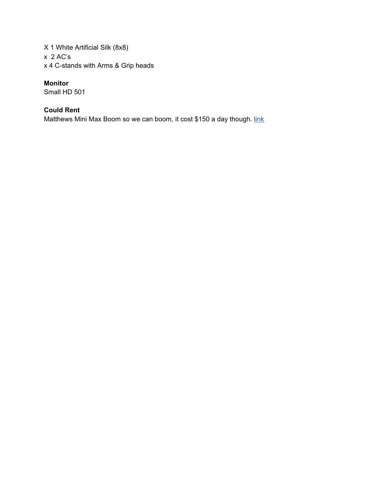X 1 White Artificial Silk (8x8) x 2 AC's x 4 C-stands with Arms & Grip heads

#### **Monitor**

Small HD 501

#### **Could Rent**

Matthews Mini Max Boom so we can boom, it cost \$150 a day though. [link](https://www.bhphotovideo.com/c/product/443231-REG/Matthews_B377701_Mini_Max_Boom.html)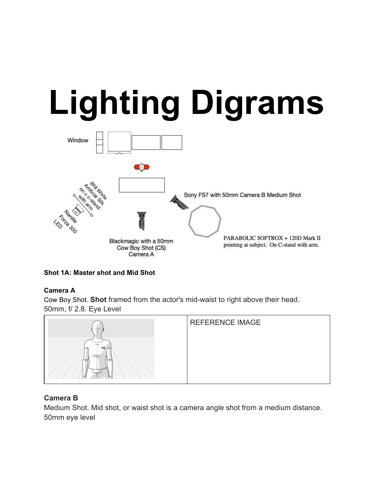# <span id="page-4-0"></span>**Lighting Digrams**



**Shot 1A: Master shot and Mid Shot**

#### **Camera A**

Cow Boy Shot. **Shot** framed from the actor's mid-waist to right above their head. 50mm, f/ 2.8. Eye Level



#### **Camera B**

Medium Shot. Mid shot, or waist shot is a camera angle shot from a medium distance. 50mm eye level